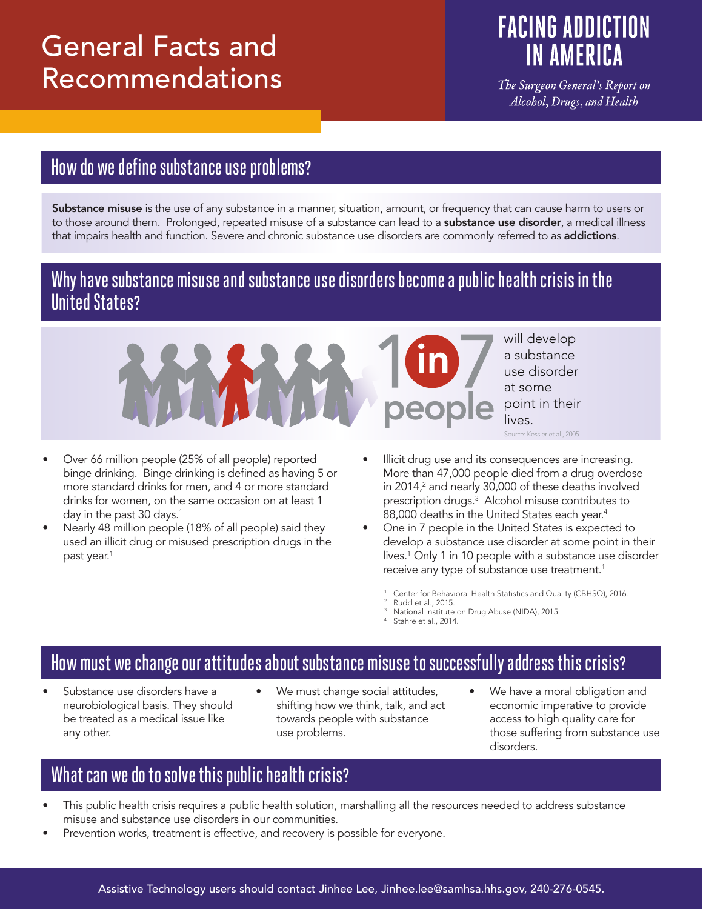# General Facts and Recommendations

# **FACING ADDICTION IN AMERICA**

The Surgeon General's Report on Alcohol, Drugs, and Health

## How do we define substance use problems?

Substance misuse is the use of any substance in a manner, situation, amount, or frequency that can cause harm to users or to those around them. Prolonged, repeated misuse of a substance can lead to a **substance use disorder**, a medical illness that impairs health and function. Severe and chronic substance use disorders are commonly referred to as **addictions**.

### Why have substance misuse and substance use disorders become a public health crisis in the **United States?**



- Over 66 million people (25% of all people) reported binge drinking. Binge drinking is defined as having 5 or more standard drinks for men, and 4 or more standard drinks for women, on the same occasion on at least 1 day in the past 30 days. $1$
- Nearly 48 million people (18% of all people) said they used an illicit drug or misused prescription drugs in the past year.<sup>1</sup>
- will develop a substance use disorder at some point in their lives. Source: Kessler et al., 2005.
- Illicit drug use and its consequences are increasing. More than 47,000 people died from a drug overdose in 2014, $^2$  and nearly 30,000 of these deaths involved prescription drugs.3 Alcohol misuse contributes to 88,000 deaths in the United States each year.<sup>4</sup>
- One in 7 people in the United States is expected to develop a substance use disorder at some point in their lives.1 Only 1 in 10 people with a substance use disorder receive any type of substance use treatment.<sup>1</sup>
	- Center for Behavioral Health Statistics and Quality (CBHSQ), 2016.
	- Rudd et al., 2015.
	- National Institute on Drug Abuse (NIDA), 2015<br>Stahre et al., 2014.

### How must we change our attitudes about substance misuse to successfully address this crisis?

- Substance use disorders have a neurobiological basis. They should be treated as a medical issue like any other.
- We must change social attitudes, shifting how we think, talk, and act towards people with substance use problems.
- We have a moral obligation and economic imperative to provide access to high quality care for those suffering from substance use disorders.

## What can we do to solve this public health crisis?

- This public health crisis requires a public health solution, marshalling all the resources needed to address substance misuse and substance use disorders in our communities.
- Prevention works, treatment is effective, and recovery is possible for everyone.